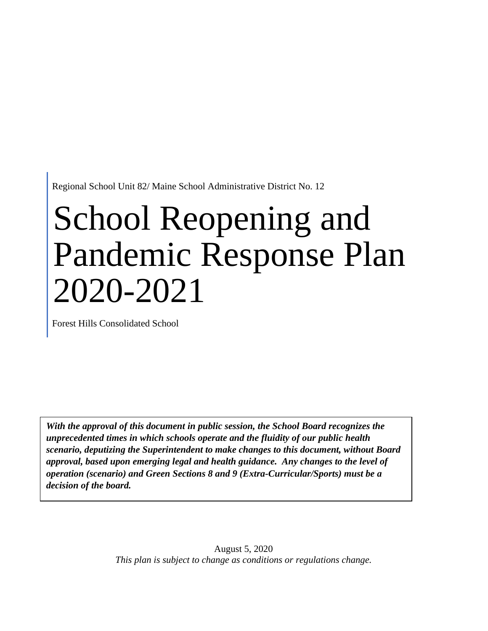Regional School Unit 82/ Maine School Administrative District No. 12

# School Reopening and Pandemic Response Plan 2020-2021

Forest Hills Consolidated School

*With the approval of this document in public session, the School Board recognizes the unprecedented times in which schools operate and the fluidity of our public health scenario, deputizing the Superintendent to make changes to this document, without Board approval, based upon emerging legal and health guidance. Any changes to the level of operation (scenario) and Green Sections 8 and 9 (Extra-Curricular/Sports) must be a decision of the board.*

> August 5, 2020 *This plan is subject to change as conditions or regulations change.*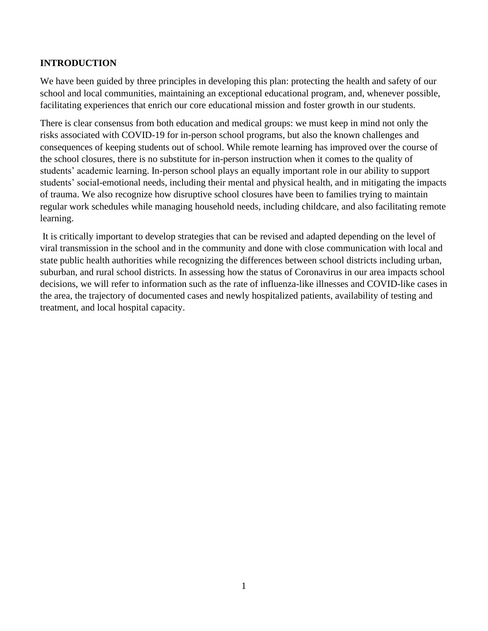### **INTRODUCTION**

We have been guided by three principles in developing this plan: protecting the health and safety of our school and local communities, maintaining an exceptional educational program, and, whenever possible, facilitating experiences that enrich our core educational mission and foster growth in our students.

There is clear consensus from both education and medical groups: we must keep in mind not only the risks associated with COVID-19 for in-person school programs, but also the known challenges and consequences of keeping students out of school. While remote learning has improved over the course of the school closures, there is no substitute for in-person instruction when it comes to the quality of students' academic learning. In-person school plays an equally important role in our ability to support students' social-emotional needs, including their mental and physical health, and in mitigating the impacts of trauma. We also recognize how disruptive school closures have been to families trying to maintain regular work schedules while managing household needs, including childcare, and also facilitating remote learning.

It is critically important to develop strategies that can be revised and adapted depending on the level of viral transmission in the school and in the community and done with close communication with local and state public health authorities while recognizing the differences between school districts including urban, suburban, and rural school districts. In assessing how the status of Coronavirus in our area impacts school decisions, we will refer to information such as the rate of influenza-like illnesses and COVID-like cases in the area, the trajectory of documented cases and newly hospitalized patients, availability of testing and treatment, and local hospital capacity.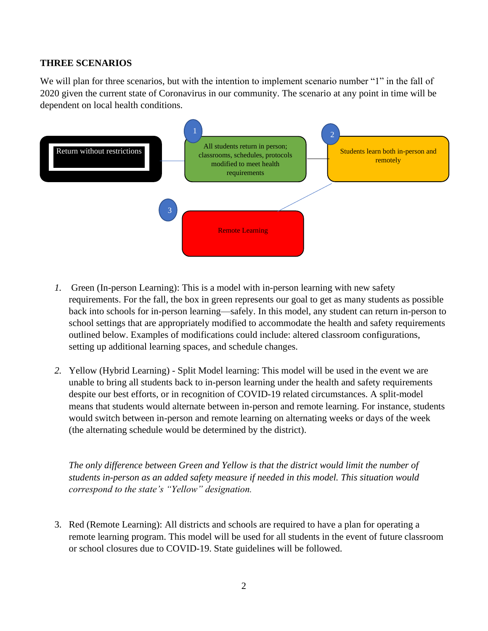#### **THREE SCENARIOS**

We will plan for three scenarios, but with the intention to implement scenario number "1" in the fall of 2020 given the current state of Coronavirus in our community. The scenario at any point in time will be dependent on local health conditions.



- *1.* Green (In-person Learning): This is a model with in-person learning with new safety requirements. For the fall, the box in green represents our goal to get as many students as possible back into schools for in-person learning—safely. In this model, any student can return in-person to school settings that are appropriately modified to accommodate the health and safety requirements outlined below. Examples of modifications could include: altered classroom configurations, setting up additional learning spaces, and schedule changes.
- *2.* Yellow (Hybrid Learning) Split Model learning: This model will be used in the event we are unable to bring all students back to in-person learning under the health and safety requirements despite our best efforts, or in recognition of COVID-19 related circumstances. A split-model means that students would alternate between in-person and remote learning. For instance, students would switch between in-person and remote learning on alternating weeks or days of the week (the alternating schedule would be determined by the district).

*The only difference between Green and Yellow is that the district would limit the number of students in-person as an added safety measure if needed in this model. This situation would correspond to the state's "Yellow" designation.*

3. Red (Remote Learning): All districts and schools are required to have a plan for operating a remote learning program. This model will be used for all students in the event of future classroom or school closures due to COVID-19. State guidelines will be followed.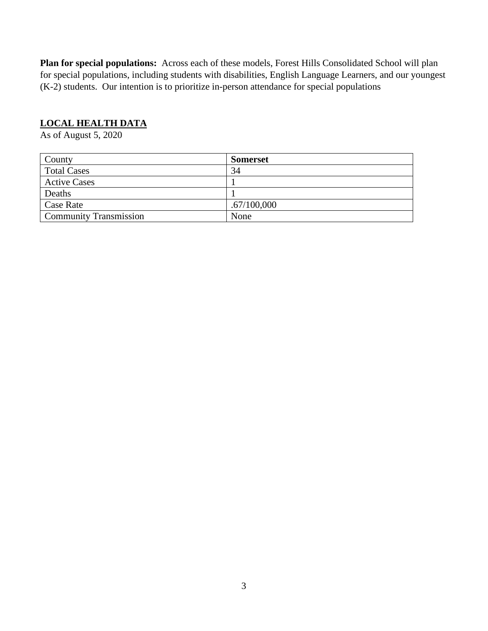**Plan for special populations:** Across each of these models, Forest Hills Consolidated School will plan for special populations, including students with disabilities, English Language Learners, and our youngest (K-2) students. Our intention is to prioritize in-person attendance for special populations

## **LOCAL HEALTH DATA**

As of August 5, 2020

| County                        | <b>Somerset</b> |
|-------------------------------|-----------------|
| <b>Total Cases</b>            | 34              |
| <b>Active Cases</b>           |                 |
| Deaths                        |                 |
| Case Rate                     | .67/100,000     |
| <b>Community Transmission</b> | None            |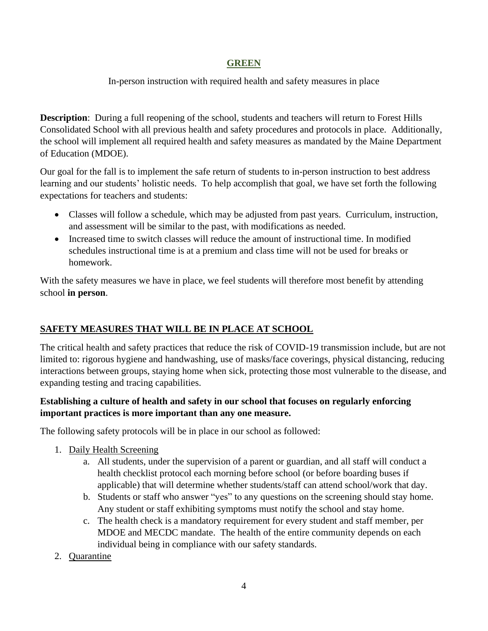#### **GREEN**

# In-person instruction with required health and safety measures in place

**Description**: During a full reopening of the school, students and teachers will return to Forest Hills Consolidated School with all previous health and safety procedures and protocols in place. Additionally, the school will implement all required health and safety measures as mandated by the Maine Department of Education (MDOE).

Our goal for the fall is to implement the safe return of students to in-person instruction to best address learning and our students' holistic needs. To help accomplish that goal, we have set forth the following expectations for teachers and students:

- Classes will follow a schedule, which may be adjusted from past years. Curriculum, instruction, and assessment will be similar to the past, with modifications as needed.
- Increased time to switch classes will reduce the amount of instructional time. In modified schedules instructional time is at a premium and class time will not be used for breaks or homework.

With the safety measures we have in place, we feel students will therefore most benefit by attending school **in person**.

# **SAFETY MEASURES THAT WILL BE IN PLACE AT SCHOOL**

The critical health and safety practices that reduce the risk of COVID-19 transmission include, but are not limited to: rigorous hygiene and handwashing, use of masks/face coverings, physical distancing, reducing interactions between groups, staying home when sick, protecting those most vulnerable to the disease, and expanding testing and tracing capabilities.

# **Establishing a culture of health and safety in our school that focuses on regularly enforcing important practices is more important than any one measure.**

The following safety protocols will be in place in our school as followed:

- 1. Daily Health Screening
	- a. All students, under the supervision of a parent or guardian, and all staff will conduct a health checklist protocol each morning before school (or before boarding buses if applicable) that will determine whether students/staff can attend school/work that day.
	- b. Students or staff who answer "yes" to any questions on the screening should stay home. Any student or staff exhibiting symptoms must notify the school and stay home.
	- c. The health check is a mandatory requirement for every student and staff member, per MDOE and MECDC mandate. The health of the entire community depends on each individual being in compliance with our safety standards.
- 2. Quarantine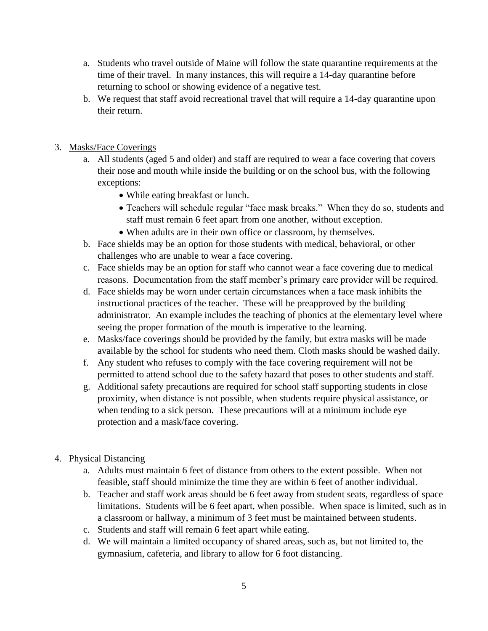- a. Students who travel outside of Maine will follow the state quarantine requirements at the time of their travel. In many instances, this will require a 14-day quarantine before returning to school or showing evidence of a negative test.
- b. We request that staff avoid recreational travel that will require a 14-day quarantine upon their return.
- 3. Masks/Face Coverings
	- a. All students (aged 5 and older) and staff are required to wear a face covering that covers their nose and mouth while inside the building or on the school bus, with the following exceptions:
		- While eating breakfast or lunch.
		- Teachers will schedule regular "face mask breaks." When they do so, students and staff must remain 6 feet apart from one another, without exception.
		- When adults are in their own office or classroom, by themselves.
	- b. Face shields may be an option for those students with medical, behavioral, or other challenges who are unable to wear a face covering.
	- c. Face shields may be an option for staff who cannot wear a face covering due to medical reasons. Documentation from the staff member's primary care provider will be required.
	- d. Face shields may be worn under certain circumstances when a face mask inhibits the instructional practices of the teacher. These will be preapproved by the building administrator. An example includes the teaching of phonics at the elementary level where seeing the proper formation of the mouth is imperative to the learning.
	- e. Masks/face coverings should be provided by the family, but extra masks will be made available by the school for students who need them. Cloth masks should be washed daily.
	- f. Any student who refuses to comply with the face covering requirement will not be permitted to attend school due to the safety hazard that poses to other students and staff.
	- g. Additional safety precautions are required for school staff supporting students in close proximity, when distance is not possible, when students require physical assistance, or when tending to a sick person. These precautions will at a minimum include eye protection and a mask/face covering.
- 4. Physical Distancing
	- a. Adults must maintain 6 feet of distance from others to the extent possible. When not feasible, staff should minimize the time they are within 6 feet of another individual.
	- b. Teacher and staff work areas should be 6 feet away from student seats, regardless of space limitations. Students will be 6 feet apart, when possible. When space is limited, such as in a classroom or hallway, a minimum of 3 feet must be maintained between students.
	- c. Students and staff will remain 6 feet apart while eating.
	- d. We will maintain a limited occupancy of shared areas, such as, but not limited to, the gymnasium, cafeteria, and library to allow for 6 foot distancing.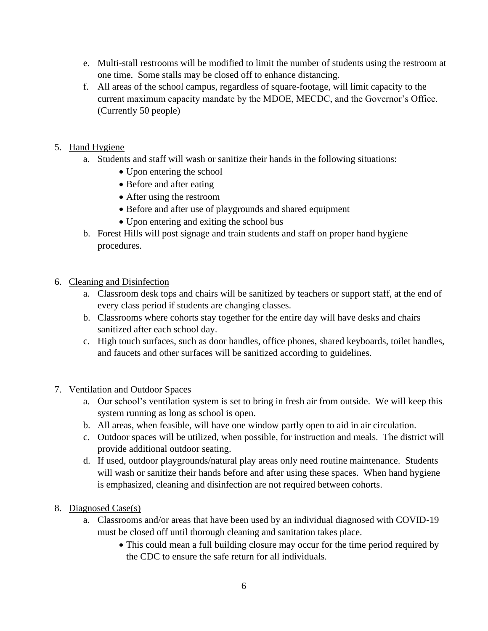- e. Multi-stall restrooms will be modified to limit the number of students using the restroom at one time. Some stalls may be closed off to enhance distancing.
- f. All areas of the school campus, regardless of square-footage, will limit capacity to the current maximum capacity mandate by the MDOE, MECDC, and the Governor's Office. (Currently 50 people)
- 5. Hand Hygiene
	- a. Students and staff will wash or sanitize their hands in the following situations:
		- Upon entering the school
		- Before and after eating
		- After using the restroom
		- Before and after use of playgrounds and shared equipment
		- Upon entering and exiting the school bus
	- b. Forest Hills will post signage and train students and staff on proper hand hygiene procedures.
- 6. Cleaning and Disinfection
	- a. Classroom desk tops and chairs will be sanitized by teachers or support staff, at the end of every class period if students are changing classes.
	- b. Classrooms where cohorts stay together for the entire day will have desks and chairs sanitized after each school day.
	- c. High touch surfaces, such as door handles, office phones, shared keyboards, toilet handles, and faucets and other surfaces will be sanitized according to guidelines.
- 7. Ventilation and Outdoor Spaces
	- a. Our school's ventilation system is set to bring in fresh air from outside. We will keep this system running as long as school is open.
	- b. All areas, when feasible, will have one window partly open to aid in air circulation.
	- c. Outdoor spaces will be utilized, when possible, for instruction and meals. The district will provide additional outdoor seating.
	- d. If used, outdoor playgrounds/natural play areas only need routine maintenance. Students will wash or sanitize their hands before and after using these spaces. When hand hygiene is emphasized, cleaning and disinfection are not required between cohorts.
- 8. Diagnosed Case(s)
	- a. Classrooms and/or areas that have been used by an individual diagnosed with COVID-19 must be closed off until thorough cleaning and sanitation takes place.
		- This could mean a full building closure may occur for the time period required by the CDC to ensure the safe return for all individuals.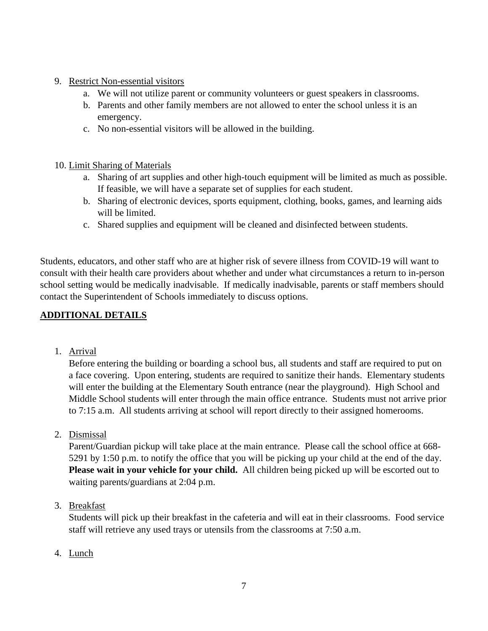# 9. Restrict Non-essential visitors

- a. We will not utilize parent or community volunteers or guest speakers in classrooms.
- b. Parents and other family members are not allowed to enter the school unless it is an emergency.
- c. No non-essential visitors will be allowed in the building.

#### 10. Limit Sharing of Materials

- a. Sharing of art supplies and other high-touch equipment will be limited as much as possible. If feasible, we will have a separate set of supplies for each student.
- b. Sharing of electronic devices, sports equipment, clothing, books, games, and learning aids will be limited.
- c. Shared supplies and equipment will be cleaned and disinfected between students.

Students, educators, and other staff who are at higher risk of severe illness from COVID-19 will want to consult with their health care providers about whether and under what circumstances a return to in-person school setting would be medically inadvisable. If medically inadvisable, parents or staff members should contact the Superintendent of Schools immediately to discuss options.

# **ADDITIONAL DETAILS**

1. Arrival

Before entering the building or boarding a school bus, all students and staff are required to put on a face covering. Upon entering, students are required to sanitize their hands. Elementary students will enter the building at the Elementary South entrance (near the playground). High School and Middle School students will enter through the main office entrance. Students must not arrive prior to 7:15 a.m. All students arriving at school will report directly to their assigned homerooms.

2. Dismissal

Parent/Guardian pickup will take place at the main entrance. Please call the school office at 668- 5291 by 1:50 p.m. to notify the office that you will be picking up your child at the end of the day. **Please wait in your vehicle for your child.** All children being picked up will be escorted out to waiting parents/guardians at 2:04 p.m.

3. Breakfast

Students will pick up their breakfast in the cafeteria and will eat in their classrooms. Food service staff will retrieve any used trays or utensils from the classrooms at 7:50 a.m.

4. Lunch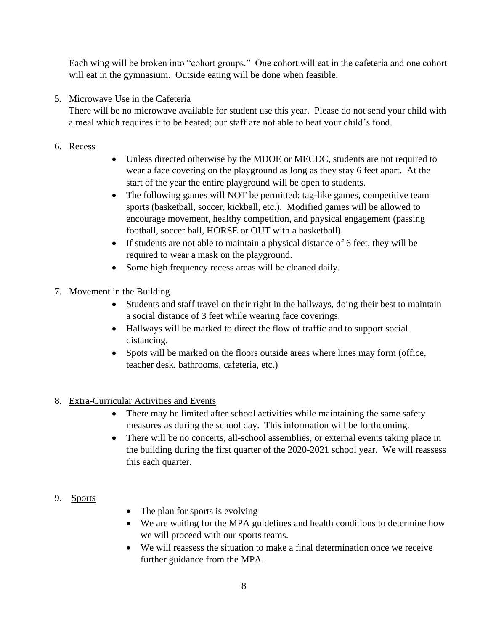Each wing will be broken into "cohort groups." One cohort will eat in the cafeteria and one cohort will eat in the gymnasium. Outside eating will be done when feasible.

# 5. Microwave Use in the Cafeteria

There will be no microwave available for student use this year. Please do not send your child with a meal which requires it to be heated; our staff are not able to heat your child's food.

- 6. Recess
- Unless directed otherwise by the MDOE or MECDC, students are not required to wear a face covering on the playground as long as they stay 6 feet apart. At the start of the year the entire playground will be open to students.
- The following games will NOT be permitted: tag-like games, competitive team sports (basketball, soccer, kickball, etc.). Modified games will be allowed to encourage movement, healthy competition, and physical engagement (passing football, soccer ball, HORSE or OUT with a basketball).
- If students are not able to maintain a physical distance of 6 feet, they will be required to wear a mask on the playground.
- Some high frequency recess areas will be cleaned daily.

# 7. Movement in the Building

- Students and staff travel on their right in the hallways, doing their best to maintain a social distance of 3 feet while wearing face coverings.
- Hallways will be marked to direct the flow of traffic and to support social distancing.
- Spots will be marked on the floors outside areas where lines may form (office, teacher desk, bathrooms, cafeteria, etc.)

# 8. Extra-Curricular Activities and Events

- There may be limited after school activities while maintaining the same safety measures as during the school day. This information will be forthcoming.
- There will be no concerts, all-school assemblies, or external events taking place in the building during the first quarter of the 2020-2021 school year. We will reassess this each quarter.

#### 9. Sports

- The plan for sports is evolving
- We are waiting for the MPA guidelines and health conditions to determine how we will proceed with our sports teams.
- We will reassess the situation to make a final determination once we receive further guidance from the MPA.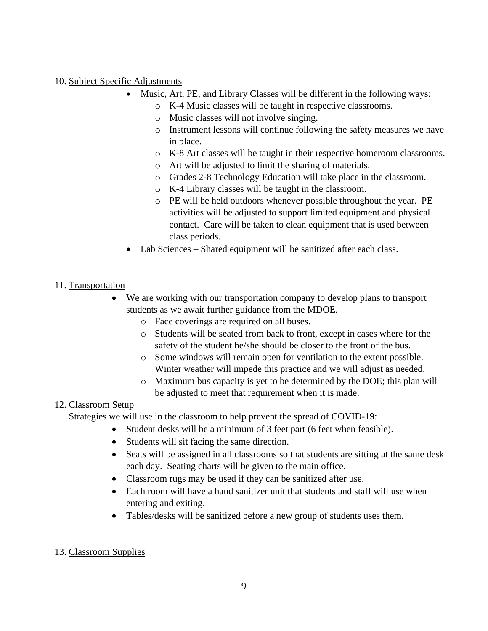#### 10. Subject Specific Adjustments

- Music, Art, PE, and Library Classes will be different in the following ways:
	- o K-4 Music classes will be taught in respective classrooms.
	- o Music classes will not involve singing.
	- o Instrument lessons will continue following the safety measures we have in place.
	- o K-8 Art classes will be taught in their respective homeroom classrooms.
	- o Art will be adjusted to limit the sharing of materials.
	- o Grades 2-8 Technology Education will take place in the classroom.
	- o K-4 Library classes will be taught in the classroom.
	- o PE will be held outdoors whenever possible throughout the year. PE activities will be adjusted to support limited equipment and physical contact. Care will be taken to clean equipment that is used between class periods.
- Lab Sciences Shared equipment will be sanitized after each class.

## 11. Transportation

- We are working with our transportation company to develop plans to transport students as we await further guidance from the MDOE.
	- o Face coverings are required on all buses.
	- o Students will be seated from back to front, except in cases where for the safety of the student he/she should be closer to the front of the bus.
	- o Some windows will remain open for ventilation to the extent possible. Winter weather will impede this practice and we will adjust as needed.
	- o Maximum bus capacity is yet to be determined by the DOE; this plan will be adjusted to meet that requirement when it is made.

# 12. Classroom Setup

Strategies we will use in the classroom to help prevent the spread of COVID-19:

- Student desks will be a minimum of 3 feet part (6 feet when feasible).
- Students will sit facing the same direction.
- Seats will be assigned in all classrooms so that students are sitting at the same desk each day. Seating charts will be given to the main office.
- Classroom rugs may be used if they can be sanitized after use.
- Each room will have a hand sanitizer unit that students and staff will use when entering and exiting.
- Tables/desks will be sanitized before a new group of students uses them.

# 13. Classroom Supplies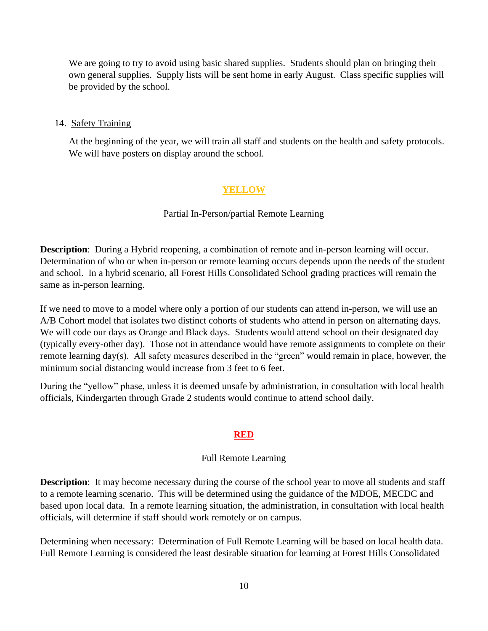We are going to try to avoid using basic shared supplies. Students should plan on bringing their own general supplies. Supply lists will be sent home in early August. Class specific supplies will be provided by the school.

#### 14. Safety Training

At the beginning of the year, we will train all staff and students on the health and safety protocols. We will have posters on display around the school.

# **YELLOW**

#### Partial In-Person/partial Remote Learning

**Description**: During a Hybrid reopening, a combination of remote and in-person learning will occur. Determination of who or when in-person or remote learning occurs depends upon the needs of the student and school. In a hybrid scenario, all Forest Hills Consolidated School grading practices will remain the same as in-person learning.

If we need to move to a model where only a portion of our students can attend in-person, we will use an A/B Cohort model that isolates two distinct cohorts of students who attend in person on alternating days. We will code our days as Orange and Black days. Students would attend school on their designated day (typically every-other day). Those not in attendance would have remote assignments to complete on their remote learning day(s). All safety measures described in the "green" would remain in place, however, the minimum social distancing would increase from 3 feet to 6 feet.

During the "yellow" phase, unless it is deemed unsafe by administration, in consultation with local health officials, Kindergarten through Grade 2 students would continue to attend school daily.

#### **RED**

#### Full Remote Learning

**Description:** It may become necessary during the course of the school year to move all students and staff to a remote learning scenario. This will be determined using the guidance of the MDOE, MECDC and based upon local data. In a remote learning situation, the administration, in consultation with local health officials, will determine if staff should work remotely or on campus.

Determining when necessary: Determination of Full Remote Learning will be based on local health data. Full Remote Learning is considered the least desirable situation for learning at Forest Hills Consolidated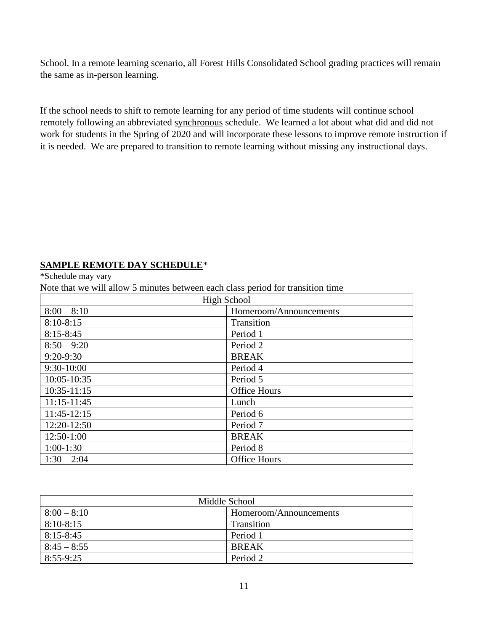School. In a remote learning scenario, all Forest Hills Consolidated School grading practices will remain the same as in-person learning.

If the school needs to shift to remote learning for any period of time students will continue school remotely following an abbreviated synchronous schedule. We learned a lot about what did and did not work for students in the Spring of 2020 and will incorporate these lessons to improve remote instruction if it is needed. We are prepared to transition to remote learning without missing any instructional days.

# **SAMPLE REMOTE DAY SCHEDULE**\*

\*Schedule may vary

Note that we will allow 5 minutes between each class period for transition time

| <b>High School</b> |                        |
|--------------------|------------------------|
| $8:00 - 8:10$      | Homeroom/Announcements |
| $8:10-8:15$        | Transition             |
| $8:15 - 8:45$      | Period 1               |
| $8:50 - 9:20$      | Period 2               |
| $9:20-9:30$        | <b>BREAK</b>           |
| $9:30-10:00$       | Period 4               |
| 10:05-10:35        | Period 5               |
| $10:35-11:15$      | <b>Office Hours</b>    |
| $11:15-11:45$      | Lunch                  |
| 11:45-12:15        | Period 6               |
| 12:20-12:50        | Period 7               |
| 12:50-1:00         | <b>BREAK</b>           |
| $1:00-1:30$        | Period 8               |
| $1:30 - 2:04$      | <b>Office Hours</b>    |

| Middle School |                        |
|---------------|------------------------|
| $8:00 - 8:10$ | Homeroom/Announcements |
| $8:10-8:15$   | Transition             |
| $8:15 - 8:45$ | Period 1               |
| $8:45 - 8:55$ | <b>BREAK</b>           |
| $8:55-9:25$   | Period 2               |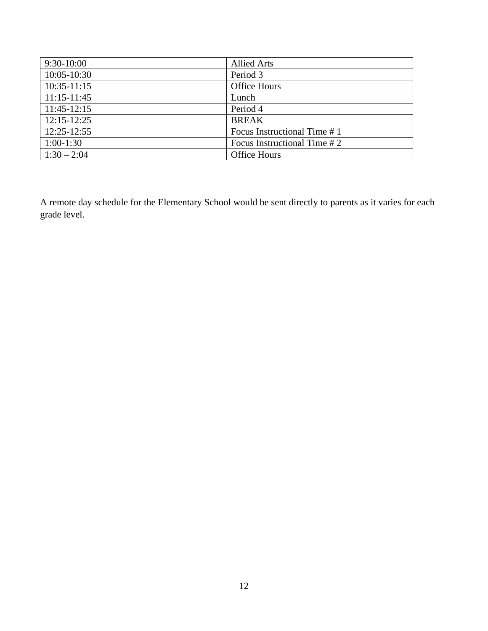| $9:30-10:00$    | <b>Allied Arts</b>          |
|-----------------|-----------------------------|
| $10:05 - 10:30$ | Period 3                    |
| $10:35-11:15$   | <b>Office Hours</b>         |
| $11:15-11:45$   | Lunch                       |
| 11:45-12:15     | Period 4                    |
| $12:15-12:25$   | <b>BREAK</b>                |
| $12:25 - 12:55$ | Focus Instructional Time #1 |
| $1:00-1:30$     | Focus Instructional Time #2 |
| $1:30 - 2:04$   | <b>Office Hours</b>         |

A remote day schedule for the Elementary School would be sent directly to parents as it varies for each grade level.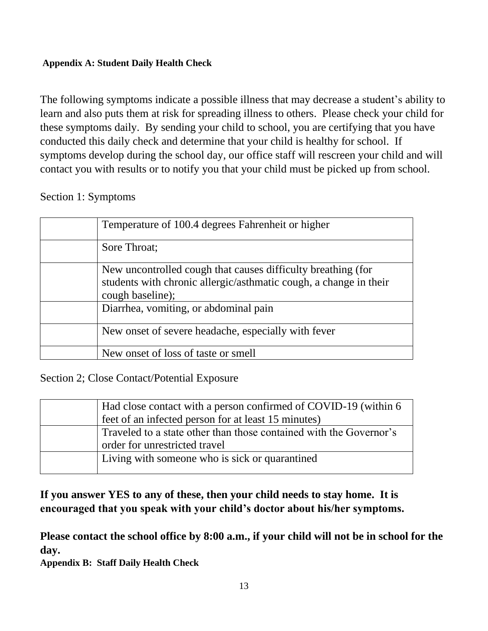# **Appendix A: Student Daily Health Check**

The following symptoms indicate a possible illness that may decrease a student's ability to learn and also puts them at risk for spreading illness to others. Please check your child for these symptoms daily. By sending your child to school, you are certifying that you have conducted this daily check and determine that your child is healthy for school. If symptoms develop during the school day, our office staff will rescreen your child and will contact you with results or to notify you that your child must be picked up from school.

# Section 1: Symptoms

| Temperature of 100.4 degrees Fahrenheit or higher                                                                                                     |
|-------------------------------------------------------------------------------------------------------------------------------------------------------|
| Sore Throat;                                                                                                                                          |
| New uncontrolled cough that causes difficulty breathing (for<br>students with chronic allergic/asthmatic cough, a change in their<br>cough baseline); |
| Diarrhea, vomiting, or abdominal pain                                                                                                                 |
| New onset of severe headache, especially with fever                                                                                                   |
| New onset of loss of taste or smell                                                                                                                   |

Section 2; Close Contact/Potential Exposure

| Had close contact with a person confirmed of COVID-19 (within 6)   |
|--------------------------------------------------------------------|
| feet of an infected person for at least 15 minutes)                |
| Traveled to a state other than those contained with the Governor's |
| order for unrestricted travel                                      |
| Living with someone who is sick or quarantined                     |
|                                                                    |

**If you answer YES to any of these, then your child needs to stay home. It is encouraged that you speak with your child's doctor about his/her symptoms.**

**Please contact the school office by 8:00 a.m., if your child will not be in school for the day.**

**Appendix B: Staff Daily Health Check**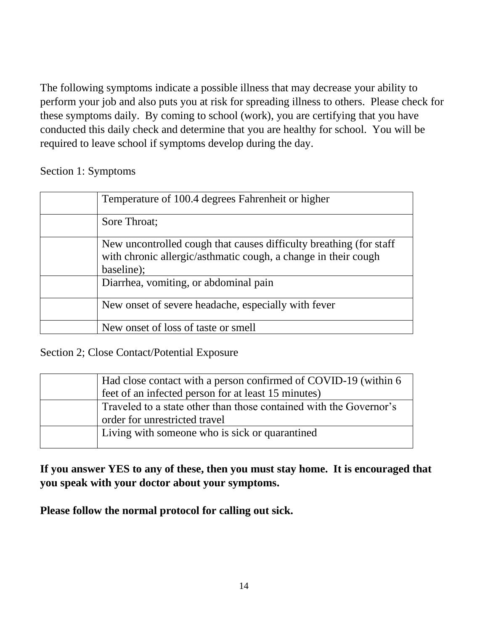The following symptoms indicate a possible illness that may decrease your ability to perform your job and also puts you at risk for spreading illness to others. Please check for these symptoms daily. By coming to school (work), you are certifying that you have conducted this daily check and determine that you are healthy for school. You will be required to leave school if symptoms develop during the day.

Section 1: Symptoms

| Temperature of 100.4 degrees Fahrenheit or higher                                                                                                   |
|-----------------------------------------------------------------------------------------------------------------------------------------------------|
| Sore Throat;                                                                                                                                        |
| New uncontrolled cough that causes difficulty breathing (for staff)<br>with chronic allergic/asthmatic cough, a change in their cough<br>baseline); |
| Diarrhea, vomiting, or abdominal pain                                                                                                               |
| New onset of severe headache, especially with fever                                                                                                 |
| New onset of loss of taste or smell                                                                                                                 |

Section 2; Close Contact/Potential Exposure

| Had close contact with a person confirmed of COVID-19 (within 6)   |
|--------------------------------------------------------------------|
| feet of an infected person for at least 15 minutes)                |
| Traveled to a state other than those contained with the Governor's |
| order for unrestricted travel                                      |
| Living with someone who is sick or quarantined                     |
|                                                                    |

**If you answer YES to any of these, then you must stay home. It is encouraged that you speak with your doctor about your symptoms.**

**Please follow the normal protocol for calling out sick.**